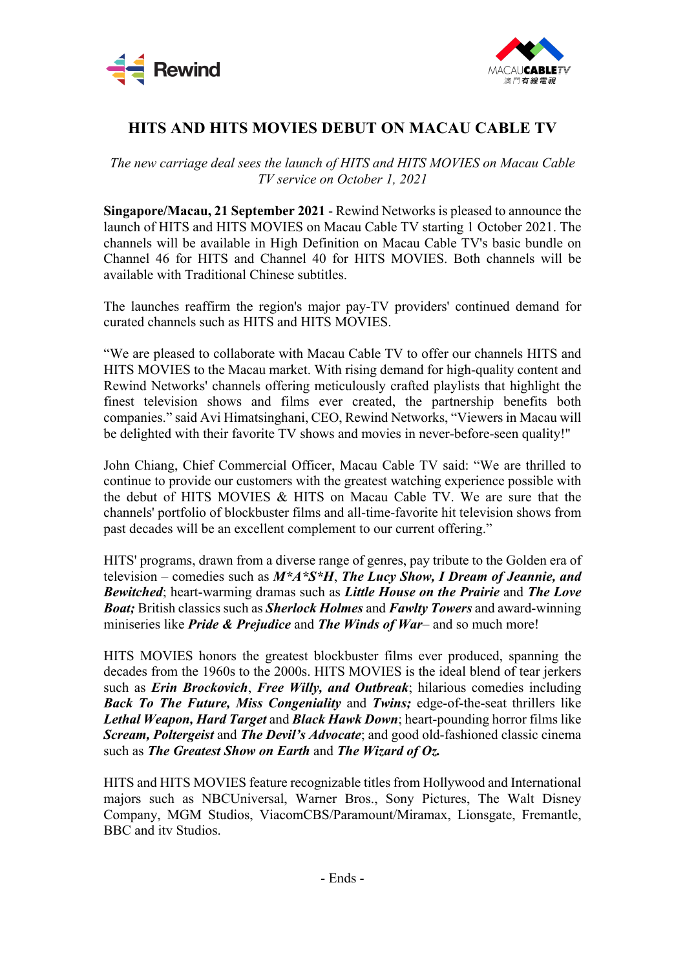



## **HITS AND HITS MOVIES DEBUT ON MACAU CABLE TV**

*The new carriage deal sees the launch of HITS and HITS MOVIES on Macau Cable TV service on October 1, 2021*

**Singapore/Macau, 21 September 2021** - Rewind Networks is pleased to announce the launch of HITS and HITS MOVIES on Macau Cable TV starting 1 October 2021. The channels will be available in High Definition on Macau Cable TV's basic bundle on Channel 46 for HITS and Channel 40 for HITS MOVIES. Both channels will be available with Traditional Chinese subtitles.

The launches reaffirm the region's major pay-TV providers' continued demand for curated channels such as HITS and HITS MOVIES.

"We are pleased to collaborate with Macau Cable TV to offer our channels HITS and HITS MOVIES to the Macau market. With rising demand for high-quality content and Rewind Networks' channels offering meticulously crafted playlists that highlight the finest television shows and films ever created, the partnership benefits both companies." said Avi Himatsinghani, CEO, Rewind Networks, "Viewers in Macau will be delighted with their favorite TV shows and movies in never-before-seen quality!"

John Chiang, Chief Commercial Officer, Macau Cable TV said: "We are thrilled to continue to provide our customers with the greatest watching experience possible with the debut of HITS MOVIES & HITS on Macau Cable TV. We are sure that the channels' portfolio of blockbuster films and all-time-favorite hit television shows from past decades will be an excellent complement to our current offering."

HITS' programs, drawn from a diverse range of genres, pay tribute to the Golden era of television – comedies such as *M\*A\*S\*H*, *The Lucy Show, I Dream of Jeannie, and Bewitched*; heart-warming dramas such as *Little House on the Prairie* and *The Love Boat;* British classics such as *Sherlock Holmes* and *Fawlty Towers* and award-winning miniseries like *Pride & Prejudice* and *The Winds of War*– and so much more!

HITS MOVIES honors the greatest blockbuster films ever produced, spanning the decades from the 1960s to the 2000s. HITS MOVIES is the ideal blend of tear jerkers such as *Erin Brockovich*, *Free Willy, and Outbreak*; hilarious comedies including *Back To The Future, Miss Congeniality* and *Twins;* edge-of-the-seat thrillers like *Lethal Weapon, Hard Target* and *Black Hawk Down*; heart-pounding horror films like *Scream, Poltergeist* and *The Devil's Advocate*; and good old-fashioned classic cinema such as *The Greatest Show on Earth* and *The Wizard of Oz.* 

HITS and HITS MOVIES feature recognizable titles from Hollywood and International majors such as NBCUniversal, Warner Bros., Sony Pictures, The Walt Disney Company, MGM Studios, ViacomCBS/Paramount/Miramax, Lionsgate, Fremantle, BBC and itv Studios.